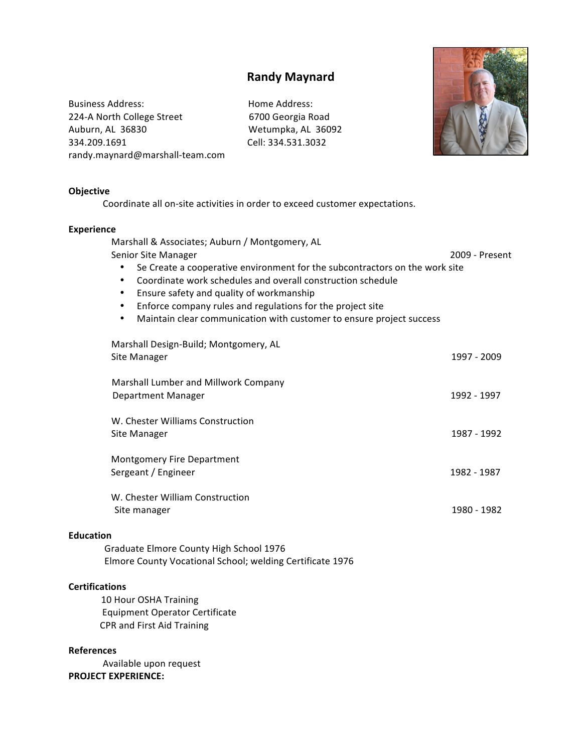## **Randy Maynard**

Business Address:  $\qquad \qquad$  Home Address: 224-A North College Street 6700 Georgia Road Auburn, AL 36830 **Wetumpka, AL 36092** 334.209.1691!!!!!!!!!!!!!!!!!!!!!!!!!!!!!!!!!!!!!!!!!!!!!!!!!!!Cell:!334.531.3032 randy.maynard@marshall-team.com



## **Objective**

Coordinate all on-site activities in order to exceed customer expectations.

## **Experience**

| Marshall & Associates; Auburn / Montgomery, AL<br>Senior Site Manager<br>Se Create a cooperative environment for the subcontractors on the work site<br>٠<br>Coordinate work schedules and overall construction schedule<br>$\bullet$<br>Ensure safety and quality of workmanship<br>٠<br>Enforce company rules and regulations for the project site<br>$\bullet$<br>Maintain clear communication with customer to ensure project success<br>$\bullet$ | 2009 - Present |
|--------------------------------------------------------------------------------------------------------------------------------------------------------------------------------------------------------------------------------------------------------------------------------------------------------------------------------------------------------------------------------------------------------------------------------------------------------|----------------|
| Marshall Design-Build; Montgomery, AL<br>Site Manager                                                                                                                                                                                                                                                                                                                                                                                                  | 1997 - 2009    |
| Marshall Lumber and Millwork Company<br>Department Manager                                                                                                                                                                                                                                                                                                                                                                                             | 1992 - 1997    |
| W. Chester Williams Construction<br>Site Manager                                                                                                                                                                                                                                                                                                                                                                                                       | 1987 - 1992    |
| <b>Montgomery Fire Department</b><br>Sergeant / Engineer                                                                                                                                                                                                                                                                                                                                                                                               | 1982 - 1987    |
| W. Chester William Construction<br>Site manager                                                                                                                                                                                                                                                                                                                                                                                                        | 1980 - 1982    |
| <b>Education</b><br>Graduate Elmore County High School 1976<br>Elmore County Vocational School; welding Certificate 1976                                                                                                                                                                                                                                                                                                                               |                |
| <b>Certifications</b><br>10 Hour OSHA Training<br><b>Equipment Operator Certificate</b><br>CPR and First Aid Training                                                                                                                                                                                                                                                                                                                                  |                |

## **References**

Available upon request **PROJECT EXPERIENCE:**